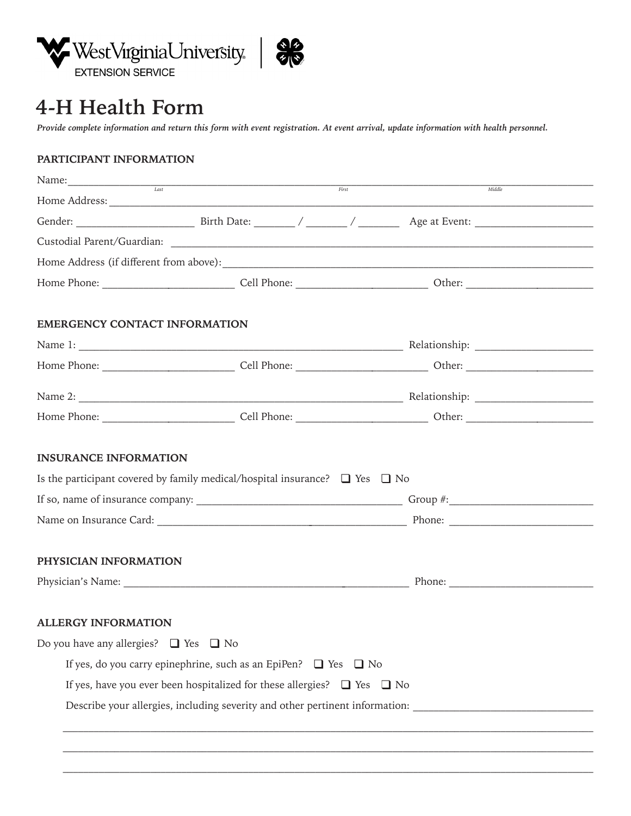



# **4-H Health Form**

*Provide complete information and return this form with event registration. At event arrival, update information with health personnel.*

# **PARTICIPANT INFORMATION**

|                                                 | $Last$ $Last$ $First$                                                                 |                                                                              |
|-------------------------------------------------|---------------------------------------------------------------------------------------|------------------------------------------------------------------------------|
|                                                 |                                                                                       | Midd                                                                         |
|                                                 |                                                                                       |                                                                              |
|                                                 |                                                                                       |                                                                              |
|                                                 |                                                                                       |                                                                              |
|                                                 |                                                                                       |                                                                              |
| <b>EMERGENCY CONTACT INFORMATION</b>            |                                                                                       |                                                                              |
|                                                 |                                                                                       |                                                                              |
|                                                 |                                                                                       |                                                                              |
|                                                 |                                                                                       |                                                                              |
|                                                 |                                                                                       |                                                                              |
| <b>INSURANCE INFORMATION</b>                    | Is the participant covered by family medical/hospital insurance? $\Box$ Yes $\Box$ No |                                                                              |
|                                                 |                                                                                       |                                                                              |
| PHYSICIAN INFORMATION                           |                                                                                       |                                                                              |
| <b>ALLERGY INFORMATION</b>                      |                                                                                       |                                                                              |
| Do you have any allergies? $\Box$ Yes $\Box$ No |                                                                                       |                                                                              |
|                                                 | If yes, do you carry epinephrine, such as an EpiPen? $\Box$ Yes $\Box$ No             |                                                                              |
|                                                 | If yes, have you ever been hospitalized for these allergies? $\Box$ Yes $\Box$ No     |                                                                              |
|                                                 |                                                                                       | Describe your allergies, including severity and other pertinent information: |
|                                                 |                                                                                       |                                                                              |

 $\overline{\phantom{a}}$  , and the set of the set of the set of the set of the set of the set of the set of the set of the set of the set of the set of the set of the set of the set of the set of the set of the set of the set of the s

 $\_$  , and the state of the state of the state of the state of the state of the state of the state of the state of the state of the state of the state of the state of the state of the state of the state of the state of the